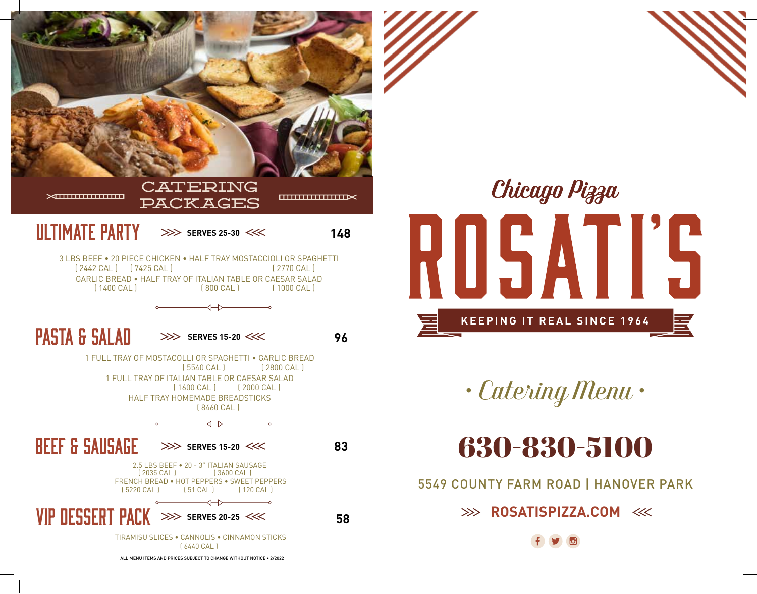



*• Catering Menu •*

630-830-5100

5549 COUNTY FARM ROAD | HANOVER PARK

**EXAMPLE ROSATISPIZZA.COM <<<< ROSATISPIZZA.COM <<<< ROSATISPIZZA.COM <<< ROSATISPIZZA.COM << ROSATISPIZZA.COM << ROSATISPIZZA.COM << ROSATISPIZZA.COM << ROSATISPIZZA.COM << ROSATISPIZZA.COM << ROSATISPIZZA.COM << ROSATISP**